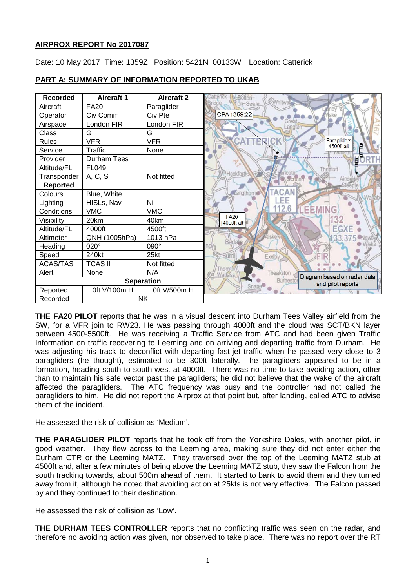# **AIRPROX REPORT No 2017087**

Date: 10 May 2017 Time: 1359Z Position: 5421N 00133W Location: Catterick



# **PART A: SUMMARY OF INFORMATION REPORTED TO UKAB**

**THE FA20 PILOT** reports that he was in a visual descent into Durham Tees Valley airfield from the SW, for a VFR join to RW23. He was passing through 4000ft and the cloud was SCT/BKN layer between 4500-5500ft. He was receiving a Traffic Service from ATC and had been given Traffic Information on traffic recovering to Leeming and on arriving and departing traffic from Durham. He was adjusting his track to deconflict with departing fast-jet traffic when he passed very close to 3 paragliders (he thought), estimated to be 300ft laterally. The paragliders appeared to be in a formation, heading south to south-west at 4000ft. There was no time to take avoiding action, other than to maintain his safe vector past the paragliders; he did not believe that the wake of the aircraft affected the paragliders. The ATC frequency was busy and the controller had not called the paragliders to him. He did not report the Airprox at that point but, after landing, called ATC to advise them of the incident.

He assessed the risk of collision as 'Medium'.

**THE PARAGLIDER PILOT** reports that he took off from the Yorkshire Dales, with another pilot, in good weather. They flew across to the Leeming area, making sure they did not enter either the Durham CTR or the Leeming MATZ. They traversed over the top of the Leeming MATZ stub at 4500ft and, after a few minutes of being above the Leeming MATZ stub, they saw the Falcon from the south tracking towards, about 500m ahead of them. It started to bank to avoid them and they turned away from it, although he noted that avoiding action at 25kts is not very effective. The Falcon passed by and they continued to their destination.

He assessed the risk of collision as 'Low'.

**THE DURHAM TEES CONTROLLER** reports that no conflicting traffic was seen on the radar, and therefore no avoiding action was given, nor observed to take place. There was no report over the RT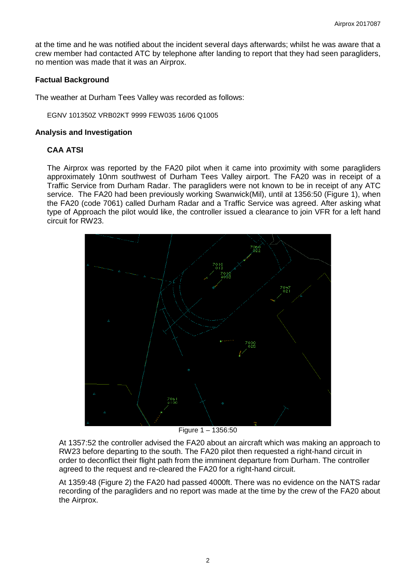at the time and he was notified about the incident several days afterwards; whilst he was aware that a crew member had contacted ATC by telephone after landing to report that they had seen paragliders, no mention was made that it was an Airprox.

#### **Factual Background**

The weather at Durham Tees Valley was recorded as follows:

EGNV 101350Z VRB02KT 9999 FEW035 16/06 Q1005

#### **Analysis and Investigation**

## **CAA ATSI**

The Airprox was reported by the FA20 pilot when it came into proximity with some paragliders approximately 10nm southwest of Durham Tees Valley airport. The FA20 was in receipt of a Traffic Service from Durham Radar. The paragliders were not known to be in receipt of any ATC service. The FA20 had been previously working Swanwick(Mil), until at 1356:50 (Figure 1), when the FA20 (code 7061) called Durham Radar and a Traffic Service was agreed. After asking what type of Approach the pilot would like, the controller issued a clearance to join VFR for a left hand circuit for RW23.



Figure 1 – 1356:50

At 1357:52 the controller advised the FA20 about an aircraft which was making an approach to RW23 before departing to the south. The FA20 pilot then requested a right-hand circuit in order to deconflict their flight path from the imminent departure from Durham. The controller agreed to the request and re-cleared the FA20 for a right-hand circuit.

At 1359:48 (Figure 2) the FA20 had passed 4000ft. There was no evidence on the NATS radar recording of the paragliders and no report was made at the time by the crew of the FA20 about the Airprox.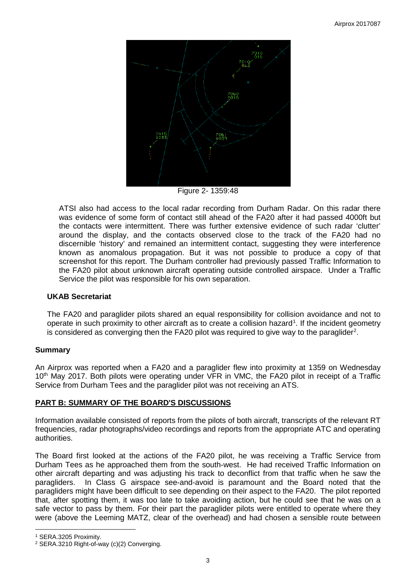

Figure 2- 1359:48

ATSI also had access to the local radar recording from Durham Radar. On this radar there was evidence of some form of contact still ahead of the FA20 after it had passed 4000ft but the contacts were intermittent. There was further extensive evidence of such radar 'clutter' around the display, and the contacts observed close to the track of the FA20 had no discernible 'history' and remained an intermittent contact, suggesting they were interference known as anomalous propagation. But it was not possible to produce a copy of that screenshot for this report. The Durham controller had previously passed Traffic Information to the FA20 pilot about unknown aircraft operating outside controlled airspace. Under a Traffic Service the pilot was responsible for his own separation.

# **UKAB Secretariat**

The FA20 and paraglider pilots shared an equal responsibility for collision avoidance and not to operate in such proximity to other aircraft as to create a collision hazard<sup>[1](#page-2-0)</sup>. If the incident geometry is considered as converging then the FA[2](#page-2-1)0 pilot was required to give way to the paraglider<sup>2</sup>.

## **Summary**

An Airprox was reported when a FA20 and a paraglider flew into proximity at 1359 on Wednesday 10<sup>th</sup> May 2017. Both pilots were operating under VFR in VMC, the FA20 pilot in receipt of a Traffic Service from Durham Tees and the paraglider pilot was not receiving an ATS.

## **PART B: SUMMARY OF THE BOARD'S DISCUSSIONS**

Information available consisted of reports from the pilots of both aircraft, transcripts of the relevant RT frequencies, radar photographs/video recordings and reports from the appropriate ATC and operating authorities.

The Board first looked at the actions of the FA20 pilot, he was receiving a Traffic Service from Durham Tees as he approached them from the south-west. He had received Traffic Information on other aircraft departing and was adjusting his track to deconflict from that traffic when he saw the paragliders. In Class G airspace see-and-avoid is paramount and the Board noted that the paragliders might have been difficult to see depending on their aspect to the FA20. The pilot reported that, after spotting them, it was too late to take avoiding action, but he could see that he was on a safe vector to pass by them. For their part the paraglider pilots were entitled to operate where they were (above the Leeming MATZ, clear of the overhead) and had chosen a sensible route between

l

<span id="page-2-0"></span><sup>1</sup> SERA.3205 Proximity.

<span id="page-2-1"></span><sup>2</sup> SERA.3210 Right-of-way (c)(2) Converging.